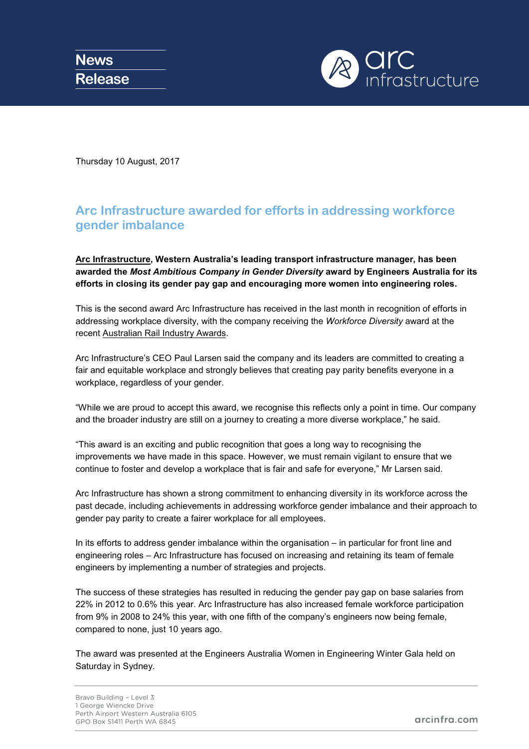

Thursday 10 August, 2017

## **Arc Infrastructure awarded for efforts in addressing workforce gender imbalance**

**[Arc Infrastructure,](http://www.arcinfra.com/) Western Australia's leading transport infrastructure manager, has been awarded the** *Most Ambitious Company in Gender Diversity* **award by Engineers Australia for its efforts in closing its gender pay gap and encouraging more women into engineering roles.**

This is the second award Arc Infrastructure has received in the last month in recognition of efforts in addressing workplace diversity, with the company receiving the *Workforce Diversity* award at the recent [Australian Rail Industry Awards.](http://railindustryawards.com.au/)

Arc Infrastructure's CEO Paul Larsen said the company and its leaders are committed to creating a fair and equitable workplace and strongly believes that creating pay parity benefits everyone in a workplace, regardless of your gender.

"While we are proud to accept this award, we recognise this reflects only a point in time. Our company and the broader industry are still on a journey to creating a more diverse workplace," he said.

"This award is an exciting and public recognition that goes a long way to recognising the improvements we have made in this space. However, we must remain vigilant to ensure that we continue to foster and develop a workplace that is fair and safe for everyone," Mr Larsen said.

Arc Infrastructure has shown a strong commitment to enhancing diversity in its workforce across the past decade, including achievements in addressing workforce gender imbalance and their approach to gender pay parity to create a fairer workplace for all employees.

In its efforts to address gender imbalance within the organisation – in particular for front line and engineering roles – Arc Infrastructure has focused on increasing and retaining its team of female engineers by implementing a number of strategies and projects.

The success of these strategies has resulted in reducing the gender pay gap on base salaries from 22% in 2012 to 0.6% this year. Arc Infrastructure has also increased female workforce participation from 9% in 2008 to 24% this year, with one fifth of the company's engineers now being female, compared to none, just 10 years ago.

The award was presented at the [Engineers Australia](https://www.engineersaustralia.org.au/) Women in Engineering Winter Gala held on Saturday in Sydney.